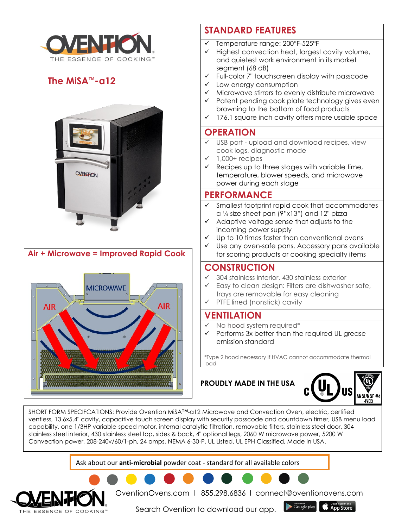

## **The MiSA™-a12**



# **Air + Microwave = Improved Rapid Cook MICROWAVE AIR AIR**

## **STANDARD FEATURES**

- $\checkmark$  Temperature range: 200°F-525°F
- Highest convection heat, largest cavity volume, and quietest work environment in its market segment (68 dB)
- $\checkmark$  Full-color 7" touchscreen display with passcode
- $\checkmark$  Low energy consumption
- $\checkmark$  Microwave stirrers to evenly distribute microwave
- $\checkmark$  Patent pending cook plate technology gives even browning to the bottom of food products
- $\checkmark$  176.1 square inch cavity offers more usable space

### **OPERATION**

- USB port upload and download recipes, view cook logs, diagnostic mode
- $\checkmark$  1,000+ recipes
- $\checkmark$  Recipes up to three stages with variable time, temperature, blower speeds, and microwave power during each stage

#### **PERFORMANCE**

- Smallest footprint rapid cook that accommodates a ¼ size sheet pan (9"x13") and 12" pizza
- $\checkmark$  Adaptive voltage sense that adjusts to the incoming power supply
- Up to 10 times faster than conventional ovens
- Use any oven-safe pans. Accessory pans available for scoring products or cooking specialty items

#### **CONSTRUCTION**

- 304 stainless interior, 430 stainless exterior
- Easy to clean design: Filters are dishwasher safe, trays are removable for easy cleaning
- PTFE lined (nonstick) cavity

#### **VENTILATION**

- No hood system required\*
- Performs 3x better than the required UL grease emission standard

\*Type 2 hood necessary if HVAC cannot accommodate thermal load

#### **PROUDLY MADE IN THE USA**



SHORT FORM SPECIFCATIONS: Provide Ovention MiSA™-a12 Microwave and Convection Oven, electric, certified ventless, 13.6x5.4" cavity, capacitive touch screen display with security passcode and countdown timer, USB menu load capability, one 1/3HP variable-speed motor, internal catalytic filtration, removable filters, stainless steel door, 304 stainless steel interior, 430 stainless steel top, sides & back, 4" optional legs, 2060 W microwave power, 5200 W Convection power, 208-240v/60/1-ph, 24 amps, NEMA 6-30-P, UL Listed, UL EPH Classified, Made in USA.

Ask about our **anti-microbial** powder coat - standard for all available colors



OventionOvens.com I 855.298.6836 I connect@oventionovens.com

Search Ovention to download our app.

 $\blacktriangleright$  Google play App Store